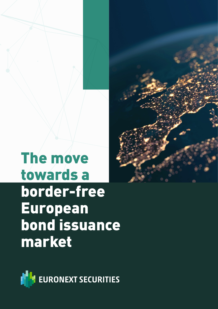# The move towards a border-free European bond issuance market

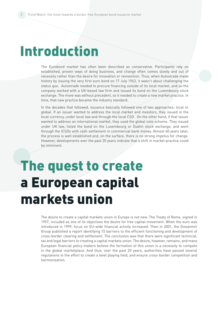## Introduction

The Eurobond market has often been described as conservative. Participants rely on established, proven ways of doing business, and change often comes slowly and out of necessity rather than the desire for innovation or reinvention. Thus, when Autostrade made history by issuing the very first euro bond on 17 July 1963, it wasn't about challenging the status quo. Autostrade needed to procure financing outside of its local market, and so the company worked with a UK-based law firm and issued its bond on the Luxembourg stock exchange. The move was without precedent, so it needed to create a new market practice. In time, that new practice became the industry standard.

In the decades that followed, issuance basically followed one of two approaches: local or global. If an issuer wanted to address the local market and investors, they issued in the local currency, under local law and through the local CSD. On the other hand, if that issuer wanted to address an international market, they used the global note scheme. They issued under UK law, listed the bond on the Luxembourg or Dublin stock exchange, and went through the ICSDs with cash settlement in commercial bank money. Almost 60 years later, the process is well established and, on the surface, there is no strong impetus for change. However, developments over the past 20 years indicate that a shift in market practice could be imminent.

# The quest to create a European capital markets union

The desire to create a capital markets union in Europe is not new. The Treaty of Rome, signed in 1957, included as one of its objectives the desire for free capital movement. When the euro was introduced in 1999, focus on EU-wide financial activity increased. Then in 2001, the Giovannini Group published a report identifying 15 barriers to the efficient functioning and development of cross-border clearing and settlement. The conclusion was that there were significant technical, tax and legal barriers to creating a capital markets union. The desire, however, remains, and many European financial policy makers believe the formation of this union is a necessity to compete in the global marketplace. And thus, over the past 20 years, authorities have passed several regulations in the effort to create a level playing field, and ensure cross-border competition and harmonisation.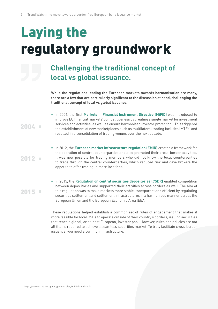# Laying the regulatory groundwork

### **Challenging the traditional concept of local vs global issuance.**

**While the regulations leading the European markets towards harmonisation are many, there are a few that are particularly significant to the discussion at hand, challenging the traditional concept of local vs global issuance.**

- In 2004, the first Markets in Financial Instrument Directive (MiFID) was introduced to improve EU financial markets' competitiveness by creating a single market for investment services and activities, as well as ensure harmonised investor protection<sup>1</sup>. This triggered the establishment of new marketplaces such as multilateral trading facilities (MTFs) and resulted in a consolidation of trading venues over the next decade.
- **In 2012, the European market infrastructure regulation (EMIR)** created a framework for the operation of central counterparties and also promoted their cross-border activities. It was now possible for trading members who did not know the local counterparties to trade through the central counterparties, which reduced risk and gave brokers the appetite to offer trading in more locations.
- In 2015, the **Regulation on central securities depositories (CSDR)** enabled competition between depos itories and supported their activities across borders as well. The aim of this regulation was to make markets more stable, transparent and efficient by regulating securities settlement and settlement infrastructures in a harmonised manner across the European Union and the European Economic Area (EEA).

These regulations helped establish a common set of rules of engagement that makes it more feasible for local CSDs to operate outside of their country's borders, issuing securities that reach a global, or at least European, investor pool. However, rules and policies are not all that is required to achieve a seamless securities market. To truly facilitate cross-border issuance, you need a common infrastructure.

1 https://www.esma.europa.eu/policy-rules/mifid-ii-and-mifir

2004

2012

2015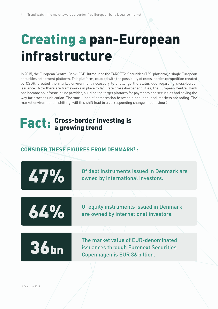# Creating a pan-European infrastructure

In 2015, the European Central Bank (ECB) introduced the TARGET2-Securities (T2S) platform, a single European securities settlement platform. This platform, coupled with the possibility of cross-border competition created by CSDR, created the market environment necessary to challenge the status quo regarding cross-border issuance. Now there are frameworks in place to facilitate cross-border activities; the European Central Bank has become an infrastructure provider, building the target platform for payments and securities and paving the way for process unification. The stark lines of demarcation between global and local markets are fading. The market environment is shifting; will this shift lead to a corresponding change in behaviour?

### **Fact:** Cross-border investing is a growing trend

#### **CONSIDER THESE FIGURES FROM DENMARK2 :**



Of debt instruments issued in Denmark are owned by international investors.

64%

Of equity instruments issued in Denmark are owned by international investors.



The market value of EUR-denominated issuances through Euronext Securities Copenhagen is EUR 36 billion.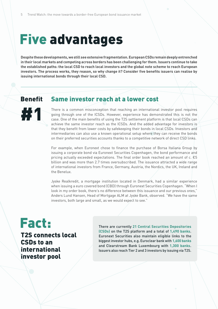## Five advantages

**Despite these developments, we still see extensive fragmentation. European CSDs remain deeply entrenched in their local markets and competing across borders has been challenging for them. Issuers continue to take the established paths: the local CSD to reach local investors and the global note scheme to reach European investors. The process works, they reason, so why change it? Consider five benefits issuers can realise by issuing international bonds through their local CSD.** 

#### Benefit Same investor reach at a lower cost



There is a common misconception that reaching an international investor pool requires going through one of the ICSDs. However, experience has demonstrated this is not the case. One of the main benefits of using the T2S settlement platform is that local CSDs can achieve the same investor reach as the ICSDs. And the added advantage for investors is that they benefit from lower costs by safekeeping their bonds in local CSDs. Investors and intermediaries can also use a known operational setup where they can receive the bonds on their preferred securities accounts thanks to a competitive network of direct CSD links.

For example, when Euronext chose to finance the purchase of Borsa Italiana Group by issuing a corporate bond via Euronext Securities Copenhagen, the bond performance and pricing actually exceeded expectations. The final order book reached an amount of c.  $\epsilon$ 5 billion and was more than 2.7 times oversubscribed. The issuance attracted a wide range of international investors from France, Germany, Austria, the Nordics, the UK, Ireland and the Benelux.

Jyske Realkredit, a mortgage institution located in Denmark, had a similar experience when issuing a euro covered bond (CBD) through Euronext Securities Copenhagen. "When I look in my order book, there's no difference between this issuance and our previous ones," Anders Lund Hansen, Head of Mortgage ALM at Jyske Bank, observed. "We have the same investors, both large and small, as we would expect to see."

### Fact:

T2S connects local CSDs to an international investor pool

There are currently **21 Central Securities Depositories (CSDs)** on the T2S platform and a total of **1,490 banks**. Euronext Securities also maintain eligible links to the biggest investor hubs, e.g. Euroclear bank with **1,600 banks** and Clearstream Bank Luxembourg with **1,300 banks**. Issuers also reach Tier 2 and 3 investors by issuing via T2S.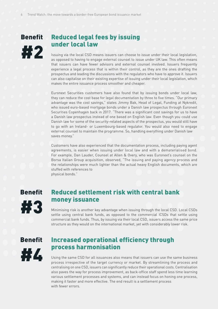## **Benefit** #2

#### Reduced legal fees by issuing under local law

Issuing via the local CSD means issuers can choose to issue under their local legislation, as opposed to having to engage external counsel to issue under UK law. This often means that issuers can have fewer advisors and external counsel involved. Issuers frequently experience a legal process that is within their control, as they are the ones drafting the prospectus and leading the discussions with the regulators who have to approve it. Issuers can also capitalise on their existing expertise of issuing under their local legislation, which makes the entire issuance process smoother and cheaper.

Euronext Securities customers have also found that by issuing bonds under local law, they can reduce the cost base for legal documentation by three to five times. "Our primary advantage was the cost savings," states Jimmy Bak, Head of Legal, Funding at Nykredit, who issued euro-based mortgage bonds under a Danish law prospectus through Euronext Securities Copenhagen back in 2017. "There was a significant cost savings for us to have a Danish law prospectus instead of one based on English law. Even though you could use Danish law for some of the security-related aspects of the prospectus, you would still have to go with an Ireland- or Luxembourg-based regulator. You would also need to engage external counsel to maintain the programme. So, handling everything under Danish law saves money."

Customers have also experienced that the documentation process, including paying agent agreements, is easier when issuing under local law and with a dematerialised bond. For example, Dan Lauder, Counsel at Allen & Overy, who was Euronext's counsel on the Borsa Italian Group acquisition, observed, "The issuing and paying agency process and the relationships were much lighter than the actual heavy English documents, which are stuffed with references to physical bonds."

**Benefit** 

#3

#### Reduced settlement risk with central bank money issuance

Minimising risk is another key advantage when issuing through the local CSD. Local CSDs settle using central bank funds, as opposed to the commercial ICSDs that settle using commercial bank funds. Thus, by issuing via their local CSD, issuers access the same price structure as they would on the international market, yet with considerably lower risk.

#### Benefit



#### Increased operational efficiency through process harmonisation

Using the same CSD for all issuances also means that issuers can use the same business process irrespective of the target currency or market. By streamlining the process and centralising on one CSD, issuers can significantly reduce their operational costs. Centralisation also paves the way for process improvement, as back-office staff spend less time learning various settlement processes and systems, and can instead focus on honing one process, making it faster and more effective. The end result is a settlement process with fewer errors.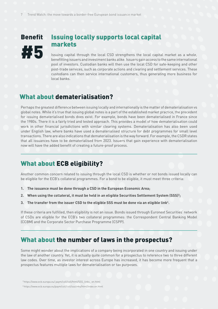### Benefit #5

#### Issuing locally supports local capital markets

Issuing capital through the local CSD strengthens the local capital market as a whole, benefitting issuers and investment banks alike. Issuers gain access to the same international pool of investors. Custodian banks will then use the local CSD for safe-keeping and other post-trade services, such as corporate actions and clearing and settlement services. These custodians can then service international customers, thus generating more business for local banks.

#### What about dematerialisation?

Perhaps the greatest difference between issuing locally and internationally is the matter of dematerialisation vs global notes. While it's true that issuing global notes is a part of the established market practice, the precedent for issuing dematerialised bonds does exist. For example, bonds have been dematerialised in France since the 1980s. There it is a fairly tried and tested approach. This provides a model of how dematerialisation could work in other financial jurisdictions with similar clearing systems. Dematerialisation has also been used under English law, where banks have used a dematerialised structure for debt programmes for small level transactions. There are also indications that dematerialisation is the way forward. For example, the CSDR states that all issuances have to be dematerialised from 2023. Issuers that gain experience with dematerialisation now will have the added benefit of creating a future-proof process.

#### What about ECB eligibility?

Another common concern related to issuing through the local CSD is whether or not bonds issued locally can be eligible for the ECB's collateral programmes. For a bond to be eligible, it must meet three criteria:

- **1. The issuance must be done through a CSD in the European Economic Area;**
- 2. When using the collateral, it must be held in an eligible Securities Settlement System (SSS)<sup>3</sup>;
- **3. The transfer from the issuer CSD to the eligible SSS must be done via an eligible link4 .**

If these criteria are fulfilled, then eligibility is not an issue. Bonds issued through Euronext Securities' network of CSDs are eligible for the ECB's two collateral programmes: the Correspondent Central Banking Model (CCBM) and the Corporate Sector Purchase Programme (CSPP).

#### What about the number of laws in the prospectus?

Some might wonder about the implications of a company being incorporated in one country and issuing under the law of another country. Yet, it is actually quite common for a prospectus to reference two to three different law codes. Over time, as investor interest across Europe has increased, it has become more frequent that a prospectus features multiple laws for dematerialisation or tax purposes.

```
 3 https://www.ecb.europa.eu/ paym/coll/coll/html/SSS_links_ en.html
```
4 https://www.ecb.europa.eu/paym/coll/coll/ssslinks/html/index.en.html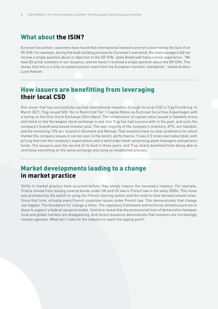#### What about the ISIN?

Euronext Securities' customers have found that international investors are not concerned by the lack of an XS ISIN. For example, during the book building process for Euronext's own bond, the lead managers did not receive a single question about or objection to the DK ISIN. Jyske Realkredit had a similar experience. "We have 83 active investors in our issuance, and we haven't received a single question about the DK ISIN. This shows that this is a fully accepted solution seen from the European markets' standpoint," stated Anders Lund Hansen.

#### How issuers are benefitting from leveraging their local CSD

One issuer that has successfully reached international investors through its local CSD is Tryg Forsikring. In March 2021, Tryg issued SEK 1bn in Restricted Tier 1 Capital Notes via Euronext Securities Copenhagen with a listing on the Oslo Stock Exchange (Oslo Børs). The combination of capital notes issued in Swedish krona and listed on the Norwegian stock exchange is one that Tryg has had success with in the past, and suits the company's Scandinavia based investor pool. The vast majority of the company's investors, 87%, are Swedish, and the remaining 13% are located in Denmark and Norway. That investors have no clear preference for which market the company issues in can be seen in the bond's performance. It was 2.5 times oversubscribed, with pricing that met the company's expectations and a solid order book comprising asset managers and pension funds. The issuance was the second of its kind in three years, and Tryg clearly benefited from being able to centralise everything on the same exchange and using an established process.

#### Market developments leading to a change in market practice

Shifts in market practice have occurred before; they simply require the necessary impetus. For example, France moved from issuing covered bonds under UK and US law to French law in the early 2000s. This move was prompted by the switch to using the French clearing system and the need to have dematerialised notes. Since that time, virtually every French corporate issues under French law. This demonstrates that change can happen. The foundation for change is there. The regulatory framework and technical infrastructure are in place to support a federal issuance model. Statistics reveal that the pronounced lines of demarcation between local and global markets are disappearing. And recent issuances demonstrate that investors are increasingly market-agnostic. What will it take for the industry to reach the tipping point?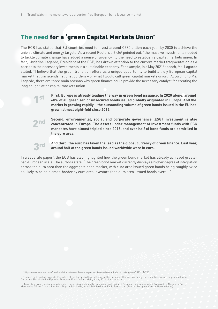1st

2nd

3rd

#### The need for a 'green Capital Markets Union'

The ECB has stated that EU countries need to invest around €330 billion each year by 2030 to achieve the union's climate and energy targets. As a recent Reuters article<sup>5</sup> pointed out, "the massive investments needed to tackle climate change have added a sense of urgency" to the need to establish a capital markets union. In fact, Christine Lagarde, President of the ECB, has drawn attention to the current market fragmentation as a barrier to the necessary investments in a sustainable economy. For example, in a May 2021<sup>6</sup> speech, Ms. Lagarde stated, "I believe that the green transition offers us a unique opportunity to build a truly European capital market that transcends national borders – or what I would call green capital markets union." According to Ms. Lagarde, there are three main reasons why green finance could provide the necessary catalyst for creating the long sought-after capital markets union.

> **First, Europe is already leading the way in green bond issuance. In 2020 alone, around 60% of all green senior unsecured bonds issued globally originated in Europe. And the market is growing rapidly – the outstanding volume of green bonds issued in the EU has grown almost eight-fold since 2015.**

> **Second, environmental, social and corporate governance (ESG) investment is also concentrated in Europe. The assets under management of investment funds with ESG mandates have almost tripled since 2015, and over half of bond funds are domiciled in the euro area.**

> **And third, the euro has taken the lead as the global currency of green finance. Last year, around half of the green bonds issued worldwide were in euro.**

In a separate paper<sup>7</sup>, the ECB has also highlighted how the green bond market has already achieved greater pan-European scale. The authors state, "The green bond market currently displays a higher degree of integration across the euro area than the aggregate bond market, with euro area issued green bonds being roughly twice as likely to be held cross-border by euro area investors than euro area-issued bonds overall."

5 https://www.reuters.com/markets/stocks/eu-adds-more-pieces-its-elusive-capital-market-jigsaw-2021-11-25/

<sup>6</sup> Speech by Christine Lagarde, President of the European Central Bank, at the European Commission's high-level conference on the proposal for a<br>Corporate Sustainability Reporting Directive, Frankfurt am Main, 6 May 2021.

,<br>Towards a green capital markets union: developing sustainable, integrated and resilient European capital markets / Prepared by Alexandra Born, "<br>Margherita Giuzio, Claudia Lambert, Dilyara Salakhova, Hanni Schölermann, F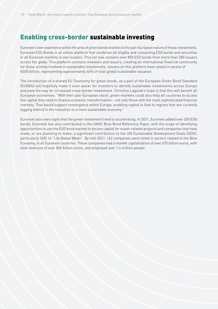#### Enabling cross-border sustainable investing

Euronext's own experience within the area of green bonds testifies to the pan-European nature of these investments. Euronext ESG Bonds is an online platform that combines all eligible and consenting ESG bonds and securities in all Euronext markets in one location. This list now contains over 850 ESG bonds from more than 280 issuers across the globe. This platform connects investors and issuers, creating an international financial community for those actively involved in sustainable investments. Issuers on this platform have raised in excess of €600 billion, representing approximately 44% of total global sustainable issuance.

The introduction of a shared EU Taxonomy for green bonds, as a part of the European Green Bond Standard (EUGBS) will hopefully make it even easier for investors to identify sustainable investments across Europe and pave the way for increased cross-border investment. Christine Lagarde's hope is that this will benefit all European economies. "With their pan-European reach, green markets could also help all countries to access the capital they need to finance economic transformation – not only those with the most sophisticated financial markets. That would support convergence within Europe, enabling capital to flow to regions that are currently lagging behind in the transition to a more sustainable economy."

Euronext also sees signs that the green investment trend is accelerating. In 2021, Euronext added over 250 ESG bonds. Euronext has also contributed to the UNGC Blue Bond Reference Paper, with the scope of identifying opportunities to use the ESG bond market to secure capital for ocean-related projects and companies that have made, or are planning to make, a significant contribution to the UN Sustainable Development Goals (SDG), particularly SDG 14 "Life Below Water". By mid-2021, 162 companies were listed in sectors related to the Blue Economy, in all Euronext countries. These companies had a market capitalisation of over 675 billion euros, with total revenues of over 840 billion euros, and employed over 1.4 million people.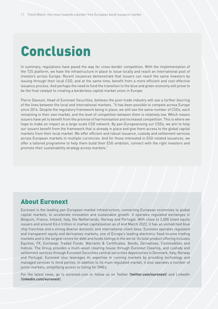## Conclusion

In summary, regulations have paved the way for cross-border competition. With the implementation of the T2S platform, we have the infrastructure in place to issue locally and reach an international pool of investors across Europe. Recent issuances demonstrate that issuers can reach the same investors by issuing through their local CSD, and at the same time, benefit from a more efficient and cost-effective issuance process. And perhaps the need to fund the transition to the blue and green economy will prove to be the final catalyst to creating a borderless capital market union in Europe.

Pierre Davoust, Head of Euronext Securities, believes the post-trade industry will see a further blurring of the lines between the local and international markets. "It has been possible to compete across Europe since 2014. Despite the regulatory framework being in place, we still see the same number of CSDs, each remaining in their own market, and the level of competition between them is relatively low. Which means issuers have yet to benefit from the promise of harmonisation and increased competition. This is where we hope to make an impact as a large-scale CSD network. By pan-Europeanising our CSDs, we aim to help our issuers benefit from the framework that is already in place and give them access to the global capital markets from their local market. We offer efficient and robust issuance, custody and settlement services across European markets in multiple currencies. And for those interested in ESG-related issuances, we offer a tailored programme to help them build their ESG ambition, connect with the right investors and promote their sustainability strategy across markets."

#### About Euronext

Euronext is the leading pan-European market infrastructure, connecting European economies to global capital markets, to accelerate innovation and sustainable growth. It operates regulated exchanges in Belgium, France, Ireland, Italy, the Netherlands, Norway and Portugal. With close to 2,000 listed equity issuers and around €6.6 trillion in market capitalisation as of end March 2022, it has an unmatched blue chip franchise and a strong diverse domestic and international client base. Euronext operates regulated and transparent equity and derivatives markets, one of Europe's leading electronic fixed income trading markets and is the largest centre for debt and funds listings in the world. Its total product offering includes Equities, FX, Exchange Traded Funds, Warrants & Certificates, Bonds, Derivatives, Commodities and Indices. The Group provides a multi-asset clearing house through Euronext Clearing, and custody and settlement services through Euronext Securities central securities depositories in Denmark, Italy, Norway and Portugal. Euronext also leverages its expertise in running markets by providing technology and managed services to third parties. In addition to its main regulated market, it also operates a number of junior markets, simplifying access to listing for SMEs.

For the latest news, go to euronext.com or follow us on Twitter (**twitter.com/euronext**) and LinkedIn (**linkedin.com/euronext**).